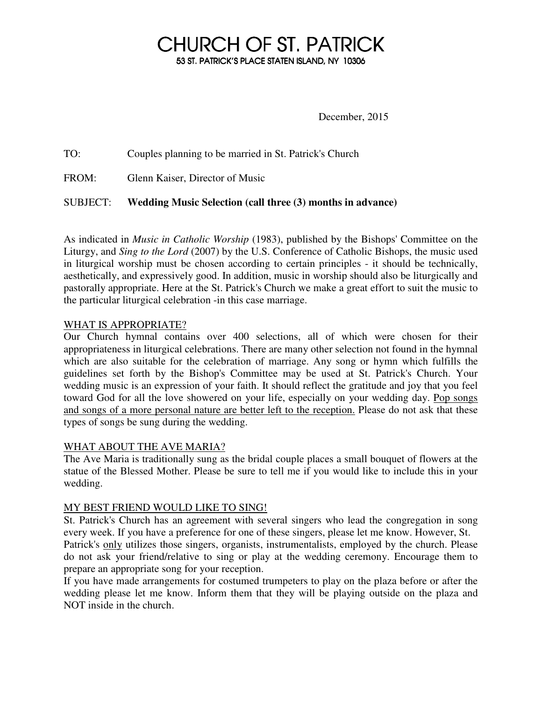# CHURCH OF ST. PATRICK 53 ST. PATRICK'S PLACE STATEN ISLAND, NY 10306

December, 2015

TO: Couples planning to be married in St. Patrick's Church

FROM: Glenn Kaiser, Director of Music

SUBJECT: **Wedding Music Selection (call three (3) months in advance)**

As indicated in *Music in Catholic Worship* (1983), published by the Bishops' Committee on the Liturgy, and *Sing to the Lord* (2007) by the U.S. Conference of Catholic Bishops, the music used in liturgical worship must be chosen according to certain principles - it should be technically, aesthetically, and expressively good. In addition, music in worship should also be liturgically and pastorally appropriate. Here at the St. Patrick's Church we make a great effort to suit the music to the particular liturgical celebration -in this case marriage.

# WHAT IS APPROPRIATE?

Our Church hymnal contains over 400 selections, all of which were chosen for their appropriateness in liturgical celebrations. There are many other selection not found in the hymnal which are also suitable for the celebration of marriage. Any song or hymn which fulfills the guidelines set forth by the Bishop's Committee may be used at St. Patrick's Church. Your wedding music is an expression of your faith. It should reflect the gratitude and joy that you feel toward God for all the love showered on your life, especially on your wedding day. Pop songs and songs of a more personal nature are better left to the reception. Please do not ask that these types of songs be sung during the wedding.

# WHAT ABOUT THE AVE MARIA?

The Ave Maria is traditionally sung as the bridal couple places a small bouquet of flowers at the statue of the Blessed Mother. Please be sure to tell me if you would like to include this in your wedding.

#### MY BEST FRIEND WOULD LIKE TO SING!

St. Patrick's Church has an agreement with several singers who lead the congregation in song every week. If you have a preference for one of these singers, please let me know. However, St.

Patrick's only utilizes those singers, organists, instrumentalists, employed by the church. Please do not ask your friend/relative to sing or play at the wedding ceremony. Encourage them to prepare an appropriate song for your reception.

If you have made arrangements for costumed trumpeters to play on the plaza before or after the wedding please let me know. Inform them that they will be playing outside on the plaza and NOT inside in the church.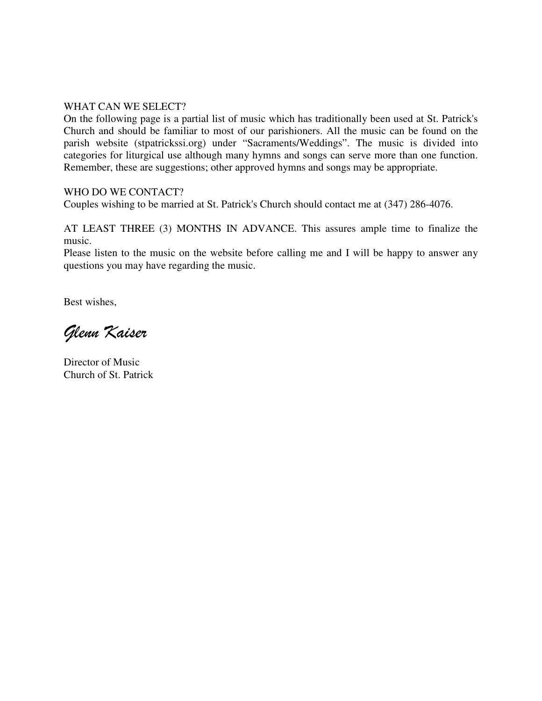# WHAT CAN WE SELECT?

On the following page is a partial list of music which has traditionally been used at St. Patrick's Church and should be familiar to most of our parishioners. All the music can be found on the parish website (stpatrickssi.org) under "Sacraments/Weddings". The music is divided into categories for liturgical use although many hymns and songs can serve more than one function. Remember, these are suggestions; other approved hymns and songs may be appropriate.

# WHO DO WE CONTACT?

Couples wishing to be married at St. Patrick's Church should contact me at (347) 286-4076.

AT LEAST THREE (3) MONTHS IN ADVANCE. This assures ample time to finalize the music.

Please listen to the music on the website before calling me and I will be happy to answer any questions you may have regarding the music.

Best wishes,

Glenn Kaiser

Director of Music Church of St. Patrick